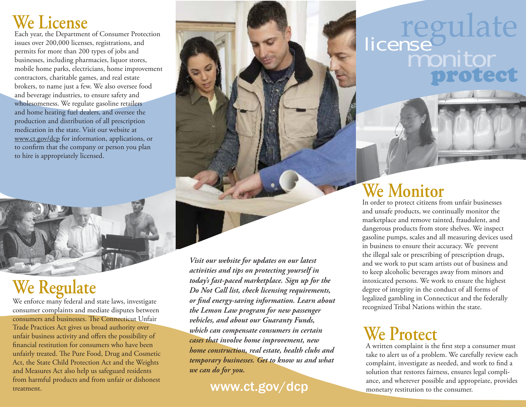#### **We License**

Each year, the Department of Consumer Protection issues over 200,000 licenses, registrations, and permits for more than 200 types of jobs and businesses, including pharmacies, liquor stores, mobile home parks, electricians, home improvement contractors, charitable games, and real estate brokers, to name just a few. We also oversee food and beverage industries, to ensure safety and wholesomeness. We regulate gasoline retailers and home heating fuel dealers, and oversee the production and distribution of all prescription medication in the state. Visit our website at www.ct.gov/dcp for information, applications, or to confirm that the company or person you plan to hire is appropriately licensed.

## **We Regulate**

We enforce many federal and state laws, investigate consumer complaints and mediate disputes between consumers and businesses. The Connecticut Unfair Trade Practices Act gives us broad authority over unfair business activity and offers the possibility of financial restitution for consumers who have been unfairly treated. The Pure Food, Drug and Cosmetic Act, the State Child Protection Act and the Weights and Measures Act also help us safeguard residents from harmful products and from unfair or dishonest treatment.

# regulate protect license<br>monitor

### **We Monitor**

In order to protect citizens from unfair businesses and unsafe products, we continually monitor the marketplace and remove tainted, fraudulent, and dangerous products from store shelves. We inspect gasoline pumps, scales and all measuring devices used in business to ensure their accuracy. We prevent the illegal sale or prescribing of prescription drugs, and we work to put scam artists out of business and to keep alcoholic beverages away from minors and intoxicated persons. We work to ensure the highest degree of integrity in the conduct of all forms of legalized gambling in Connecticut and the federally recognized Tribal Nations within the state.

### **We Protect**

A written complaint is the first step a consumer must take to alert us of a problem. We carefully review each complaint, investigate as needed, and work to find a solution that restores fairness, ensures legal compliance, and wherever possible and appropriate, provides monetary restitution to the consumer.

*Visit our website for updates on our latest activities and tips on protecting yourself in today's fast-paced marketplace. Sign up for the Do Not Call list, check licensing requirements, or fi nd energy-saving information. Learn about the Lemon Law program for new passenger vehicles, and about our Guaranty Funds, which can compensate consumers in certain cases that involve home improvement, new home construction, real estate, health clubs and temporary businesses. Get to know us and what we can do for you.*

#### www.ct.gov/dcp